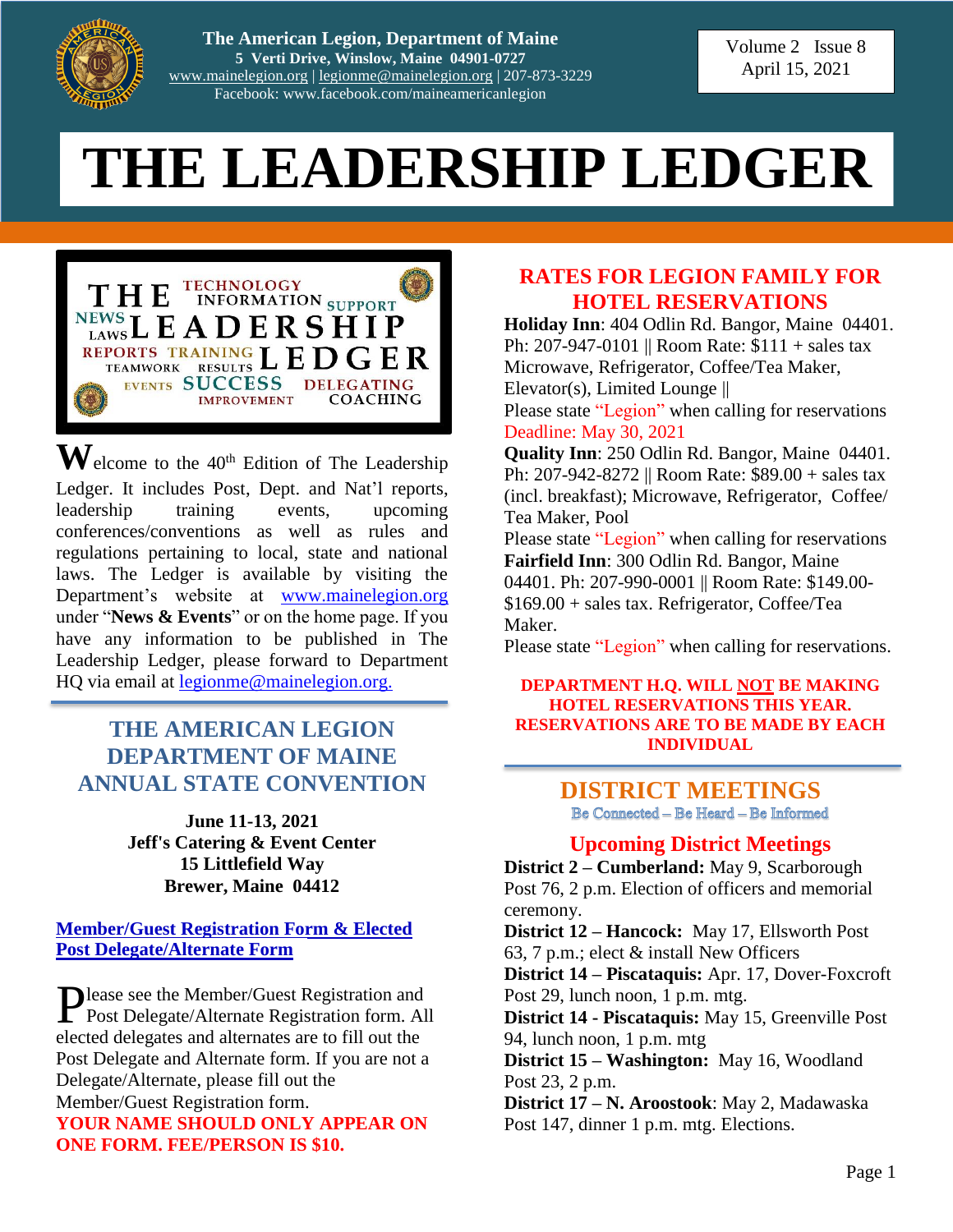

**The American Legion, Department of Maine 5 Verti Drive, Winslow, Maine 04901-0727** [www.mainelegion.org](http://www.mainelegion.org/) | [legionme@mainelegion.org](mailto:legionme@mainelegion.org) | 207-873-3229 Facebook: www.facebook.com/maineamericanlegion

Volume 2 Issue 8 April 15, 2021

# **THE LEADERSHIP LEDGER**



 $\mathbf{W}$ elcome to the 40<sup>th</sup> Edition of The Leadership Ledger. It includes Post, Dept. and Nat'l reports, leadership training events, upcoming conferences/conventions as well as rules and regulations pertaining to local, state and national laws. The Ledger is available by visiting the Department's website at [www.mainelegion.org](http://www.mainelegion.org/) under "**News & Events**" or on the home page. If you have any information to be published in The Leadership Ledger, please forward to Department HQ via email at [legionme@mainelegion.org.](mailto:legionme@mainelegion.org)

#### **THE AMERICAN LEGION DEPARTMENT OF MAINE ANNUAL STATE CONVENTION**

**June 11-13, 2021 Jeff's Catering & Event Center 15 Littlefield Way Brewer, Maine 04412**

#### **[Member/Guest Registration Form & Elected](http://www.mainelegion.org/media/Forms/STATECONVENTION_REGISTRATION_FORMS2021_-_FILLABLE3.pdf)  [Post Delegate/Alternate](http://www.mainelegion.org/media/Forms/STATECONVENTION_REGISTRATION_FORMS2021_-_FILLABLE3.pdf) Form**

Please see the Member/Guest Registration and<br>Post Delegate/Alternate Registration form. Al Post Delegate/Alternate Registration form. All elected delegates and alternates are to fill out the Post Delegate and Alternate form. If you are not a Delegate/Alternate, please fill out the Member/Guest Registration form. **YOUR NAME SHOULD ONLY APPEAR ON ONE FORM. FEE/PERSON IS \$10.**

#### **RATES FOR LEGION FAMILY FOR HOTEL RESERVATIONS**

**Holiday Inn**: 404 Odlin Rd. Bangor, Maine 04401. Ph: 207-947-0101 || Room Rate: \$111 + sales tax Microwave, Refrigerator, Coffee/Tea Maker, Elevator(s), Limited Lounge || Please state "Legion" when calling for reservations

Deadline: May 30, 2021 **Quality Inn**: 250 Odlin Rd. Bangor, Maine 04401. Ph: 207-942-8272 || Room Rate: \$89.00 + sales tax (incl. breakfast); Microwave, Refrigerator, Coffee/ Tea Maker, Pool

Please state "Legion" when calling for reservations **Fairfield Inn**: 300 Odlin Rd. Bangor, Maine 04401. Ph: 207-990-0001 || Room Rate: \$149.00-\$169.00 + sales tax. Refrigerator, Coffee/Tea Maker.

Please state "Legion" when calling for reservations.

#### **DEPARTMENT H.Q. WILL NOT BE MAKING HOTEL RESERVATIONS THIS YEAR. RESERVATIONS ARE TO BE MADE BY EACH INDIVIDUAL**

# **DISTRICT MEETINGS**<br>Be Connected – Be Heard – Be Informed

#### **Upcoming District Meetings**

**District 2 – Cumberland:** May 9, Scarborough Post 76, 2 p.m. Election of officers and memorial ceremony.

**District 12 – Hancock:** May 17, Ellsworth Post 63, 7 p.m.; elect & install New Officers

**District 14 – Piscataquis:** Apr. 17, Dover-Foxcroft Post 29, lunch noon, 1 p.m. mtg.

**District 14 - Piscataquis:** May 15, Greenville Post 94, lunch noon, 1 p.m. mtg

**District 15 – Washington:** May 16, Woodland Post 23, 2 p.m.

**District 17 – N. Aroostook**: May 2, Madawaska Post 147, dinner 1 p.m. mtg. Elections.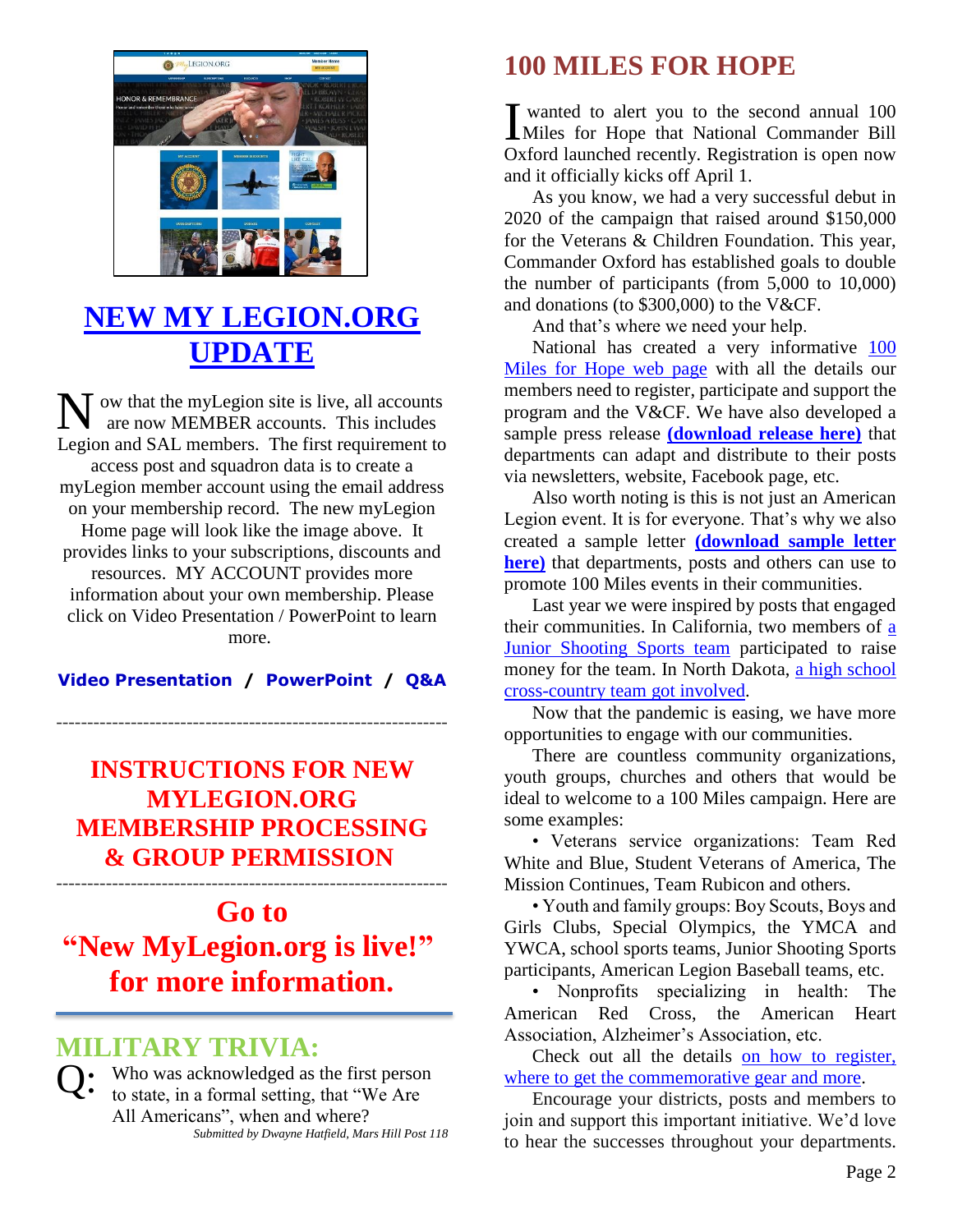

# **[NEW MY LEGION.ORG](https://vimeo.com/518232870)  [UPDATE](https://vimeo.com/518232870)**

ow that the myLegion site is live, all accounts are now MEMBER accounts. This includes Legion and SAL members. The first requirement to access post and squadron data is to create a myLegion member account using the email address on your membership record. The new myLegion Home page will look like the image above. It provides links to your subscriptions, discounts and resources. MY ACCOUNT provides more information about your own membership. Please click on Video Presentation / PowerPoint to learn more. N

**[Video Presentation](https://vimeo.com/518232870) / [PowerPoint](https://www.legion.org/documents/training/training-tuesdays/PPT_MyLegion_Update_Membership_Processing.pptx) / [Q&A](https://www.legion.org/training/251904/training-tuesday-mylegion-update-membership-processing-qa)**

---------------------------------------------------------------

#### **[INSTRUCTIONS](http://www.mainelegion.org/media/Membership/new_membership_program_instructions1.pdf) FOR NEW [MYLEGION.ORG](http://www.mainelegion.org/media/Membership/new_membership_program_instructions1.pdf) [MEMBERSHIP](http://www.mainelegion.org/media/Membership/new_membership_program_instructions1.pdf) PROCESSING & GROUP [PERMISSION](http://www.mainelegion.org/media/Membership/new_membership_program_instructions1.pdf)** ---------------------------------------------------------------

# **Go to ["New MyLegion.org is live!"](https://www.legion.org/membership/252152/new-mylegionorg-live) for more information.**

## **MILITARY TRIVIA:**

 $Q:$  Who was acknowledged as the first person<br>to state, in a formal setting, that "We Are to state, in a formal setting, that "We Are All Americans", when and where? *Submitted by Dwayne Hatfield, Mars Hill Post 118*

## **100 MILES FOR HOPE**

wanted to alert you to the second annual 100 I wanted to alert you to the second annual 100<br>Miles for Hope that National Commander Bill Oxford launched recently. Registration is open now and it officially kicks off April 1.

As you know, we had a very successful debut in 2020 of the campaign that raised around \$150,000 for the Veterans & Children Foundation. This year, Commander Oxford has established goals to double the number of participants (from 5,000 to 10,000) and donations (to \$300,000) to the V&CF.

And that's where we need your help.

National has created a very informative [100](http://www.legion.org/100milesforhope)  [Miles for Hope web page](http://www.legion.org/100milesforhope) with all the details our members need to register, participate and support the program and the V&CF. We have also developed a sample press release **[\(download release here\)](https://www.legion.org/talma/resources)** that departments can adapt and distribute to their posts via newsletters, website, Facebook page, etc.

Also worth noting is this is not just an American Legion event. It is for everyone. That's why we also created a sample letter **[\(download sample letter](https://www.legion.org/talma/resources)  [here\)](https://www.legion.org/talma/resources)** that departments, posts and others can use to promote 100 Miles events in their communities.

Last year we were inspired by posts that engaged their communities. In California, two members of [a](https://www.legion.org/dispatch/250678/100-miles-challenge-supports-new-shooting-sports-program-california)  [Junior Shooting Sports team](https://www.legion.org/dispatch/250678/100-miles-challenge-supports-new-shooting-sports-program-california) participated to raise money for the team. In North Dakota, [a high school](http://www.legiontown.org/100-miles/7412/kindred-cross-country-team-participates-100-miles-walk)  [cross-country team got involved.](http://www.legiontown.org/100-miles/7412/kindred-cross-country-team-participates-100-miles-walk)

Now that the pandemic is easing, we have more opportunities to engage with our communities.

There are countless community organizations, youth groups, churches and others that would be ideal to welcome to a 100 Miles campaign. Here are some examples:

• Veterans service organizations: Team Red White and Blue, Student Veterans of America, The Mission Continues, Team Rubicon and others.

• Youth and family groups: Boy Scouts, Boys and Girls Clubs, Special Olympics, the YMCA and YWCA, school sports teams, Junior Shooting Sports participants, American Legion Baseball teams, etc.

• Nonprofits specializing in health: The American Red Cross, the American Heart Association, Alzheimer's Association, etc.

Check out all the details [on how to register,](http://www.legion.org/100milesforhope)  [where to get the commemorative gear and more.](http://www.legion.org/100milesforhope)

Encourage your districts, posts and members to join and support this important initiative. We'd love to hear the successes throughout your departments.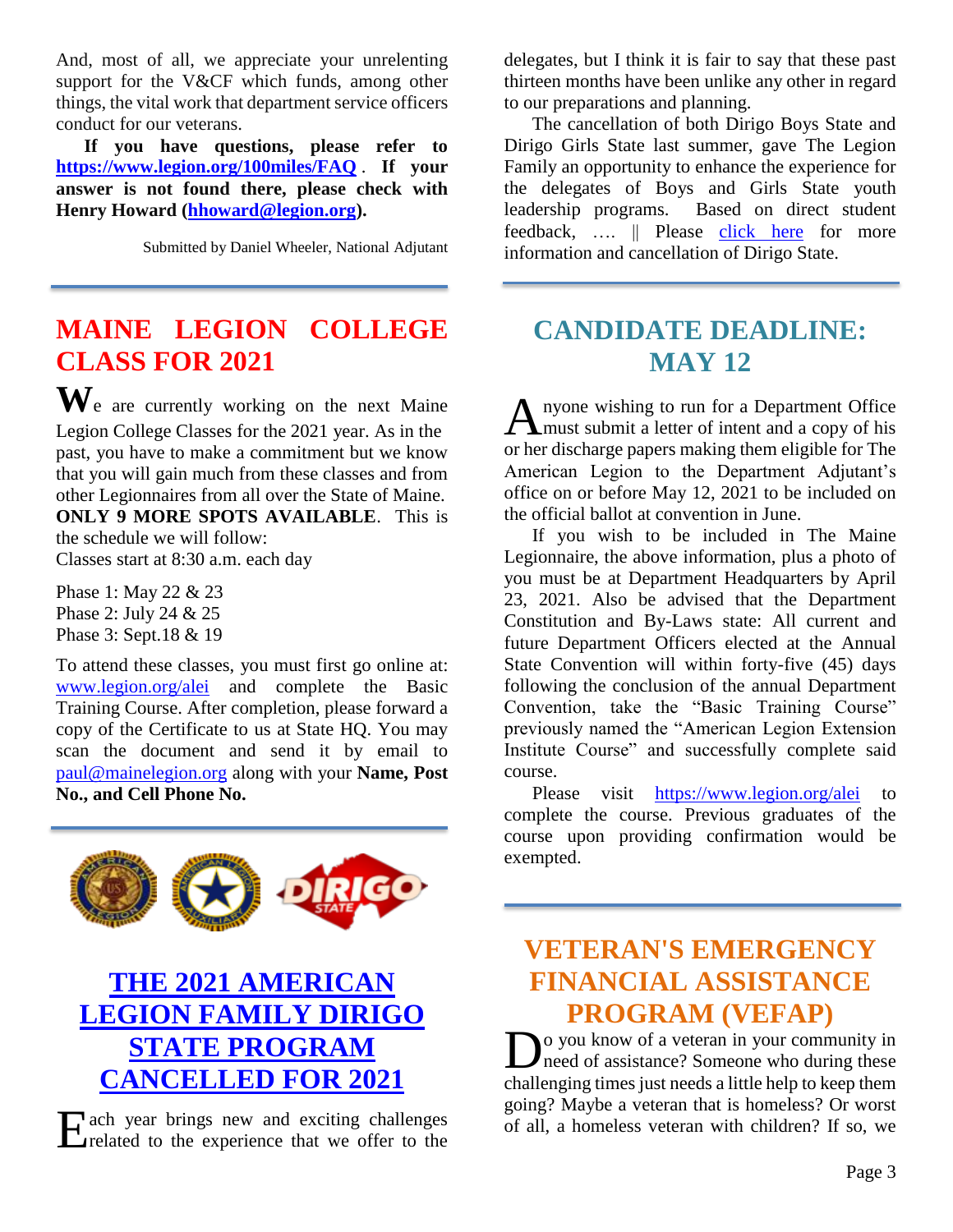And, most of all, we appreciate your unrelenting support for the V&CF which funds, among other things, the vital work that department service officers conduct for our veterans.

**If you have questions, please refer to <https://www.legion.org/100miles/FAQ>** . **If your answer is not found there, please check with Henry Howard [\(hhoward@legion.org\)](mailto:hhoward@legion.org).**

Submitted by Daniel Wheeler, National Adjutant

## **MAINE LEGION COLLEGE CLASS FOR 2021**

**W**e are currently working on the next Maine Legion College Classes for the 2021 year. As in the past, you have to make a commitment but we know that you will gain much from these classes and from other Legionnaires from all over the State of Maine. **ONLY 9 MORE SPOTS AVAILABLE**. This is the schedule we will follow: Classes start at 8:30 a.m. each day

Phase 1: May 22 & 23 Phase 2: July 24 & 25 Phase 3: Sept.18 & 19

To attend these classes, you must first go online at: [www.legion.org/alei](http://www.legion.org/alei) and complete the Basic Training Course. After completion, please forward a copy of the Certificate to us at State HQ. You may scan the document and send it by email to [paul@mainelegion.org](mailto:paul@mainelegion.org) along with your **Name, Post No., and Cell Phone No.** 



# **[THE 2021 AMERICAN](http://www.mainelegion.org/media/boysstate/2021_Cancellation_Notice.pdf)  [LEGION FAMILY DIRIGO](http://www.mainelegion.org/media/boysstate/2021_Cancellation_Notice.pdf)  [STATE PROGRAM](http://www.mainelegion.org/media/boysstate/2021_Cancellation_Notice.pdf)  [CANCELLED FOR 2021](http://www.mainelegion.org/media/boysstate/2021_Cancellation_Notice.pdf)**

E ach year brings new and exciting challenges of all, a homeless veteran with children? If so, we related to the experience that we offer to the  $\sum$ related to the experience that we offer to the

delegates, but I think it is fair to say that these past thirteen months have been unlike any other in regard to our preparations and planning.

The cancellation of both Dirigo Boys State and Dirigo Girls State last summer, gave The Legion Family an opportunity to enhance the experience for the delegates of Boys and Girls State youth leadership programs. Based on direct student feedback, .... || Please [click here](http://www.mainelegion.org/media/boysstate/2021_Cancellation_Notice.pdf) for more information and cancellation of Dirigo State.

## **CANDIDATE DEADLINE: MAY 12**

stable propose wishing to run for a Department Office A nyone wishing to run for a Department Office<br>
must submit a letter of intent and a copy of his or her discharge papers making them eligible for The American Legion to the Department Adjutant's office on or before May 12, 2021 to be included on the official ballot at convention in June.

If you wish to be included in The Maine Legionnaire, the above information, plus a photo of you must be at Department Headquarters by April 23, 2021. Also be advised that the Department Constitution and By-Laws state: All current and future Department Officers elected at the Annual State Convention will within forty-five (45) days following the conclusion of the annual Department Convention, take the "Basic Training Course" previously named the "American Legion Extension Institute Course" and successfully complete said course.

Please visit <https://www.legion.org/alei> to complete the course. Previous graduates of the course upon providing confirmation would be exempted.

## **VETERAN'S EMERGENCY FINANCIAL ASSISTANCE PROGRAM (VEFAP)**

o you know of a veteran in your community in Do you know of a veteran in your community in<br>need of assistance? Someone who during these challenging times just needs a little help to keep them going? Maybe a veteran that is homeless? Or worst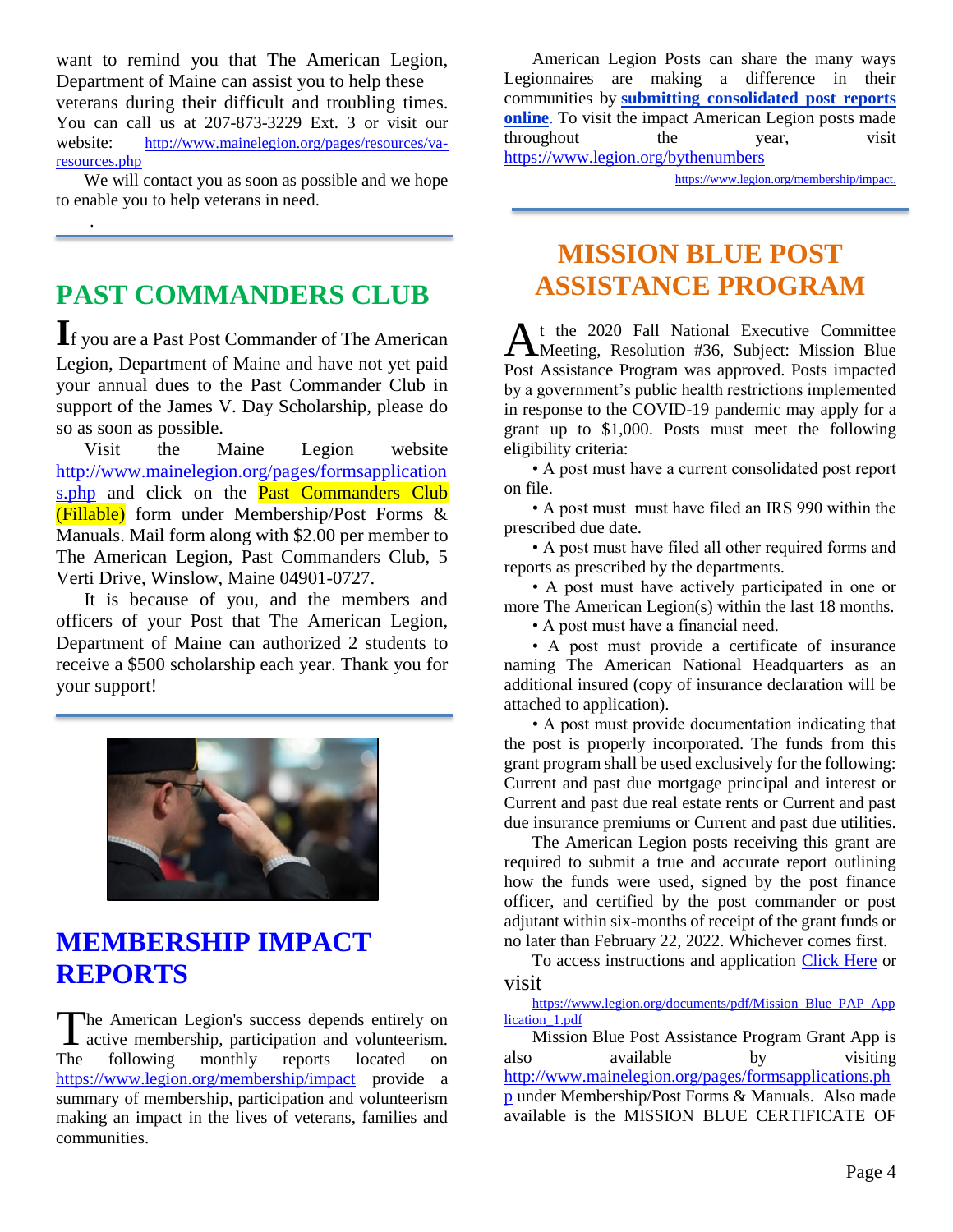want to remind you that The American Legion, Department of Maine can assist you to help these veterans during their difficult and troubling times. You can call us at 207-873-3229 Ext. 3 or visit our website: http://www.mainelegion.org/pages/resources/varesources.php

We will contact you as soon as possible and we hope to enable you to help veterans in need.

# **PAST COMMANDERS CLUB**

.

**I**f you are a Past Post Commander of The American Legion, Department of Maine and have not yet paid your annual dues to the Past Commander Club in support of the James V. Day Scholarship, please do so as soon as possible.

Visit the Maine Legion website [http://www.mainelegion.org/pages/formsapplication](http://www.mainelegion.org/pages/formsapplications.php) [s.php](http://www.mainelegion.org/pages/formsapplications.php) and click on the **Past Commanders Club** (Fillable) form under Membership/Post Forms & Manuals. Mail form along with \$2.00 per member to The American Legion, Past Commanders Club, 5 Verti Drive, Winslow, Maine 04901-0727.

It is because of you, and the members and officers of your Post that The American Legion, Department of Maine can authorized 2 students to receive a \$500 scholarship each year. Thank you for your support!



### **[MEMBERSHIP IMPACT](https://www.legion.org/membership/impact)  [REPORTS](https://www.legion.org/membership/impact)**

he American Legion's success depends entirely on The American Legion's success depends entirely on active membership, participation and volunteerism. The following monthly reports located on <https://www.legion.org/membership/impact> provide a summary of membership, participation and volunteerism making an impact in the lives of veterans, families and communities.

American Legion Posts can share the many ways Legionnaires are making a difference in their communities by **[submitting consolidated post reports](http://www.mylegion.org/)  [online](http://www.mylegion.org/)**. To visit the impact American Legion posts made throughout the year, visit <https://www.legion.org/bythenumbers>

[https://www.legion.org/membership/impact.](https://www.legion.org/membership/impact)

# **MISSION BLUE POST ASSISTANCE PROGRAM**

t the 2020 Fall National Executive Committee At the 2020 Fall National Executive Committee<br>Meeting, Resolution #36, Subject: Mission Blue Post Assistance Program was approved. Posts impacted by a government's public health restrictions implemented in response to the COVID-19 pandemic may apply for a grant up to \$1,000. Posts must meet the following eligibility criteria:

• A post must have a current consolidated post report on file.

• A post must must have filed an IRS 990 within the prescribed due date.

• A post must have filed all other required forms and reports as prescribed by the departments.

• A post must have actively participated in one or more The American Legion(s) within the last 18 months.

• A post must have a financial need.

• A post must provide a certificate of insurance naming The American National Headquarters as an additional insured (copy of insurance declaration will be attached to application).

• A post must provide documentation indicating that the post is properly incorporated. The funds from this grant program shall be used exclusively for the following: Current and past due mortgage principal and interest or Current and past due real estate rents or Current and past due insurance premiums or Current and past due utilities.

The American Legion posts receiving this grant are required to submit a true and accurate report outlining how the funds were used, signed by the post finance officer, and certified by the post commander or post adjutant within six-months of receipt of the grant funds or no later than February 22, 2022. Whichever comes first.

To access instructions and application [Click Here](https://www.legion.org/documents/pdf/Mission_Blue_PAP_Application_1.pdf) or visit

#### [https://www.legion.org/documents/pdf/Mission\\_Blue\\_PAP\\_App](https://www.legion.org/documents/pdf/Mission_Blue_PAP_Application_1.pdf) [lication\\_1.pdf](https://www.legion.org/documents/pdf/Mission_Blue_PAP_Application_1.pdf)

Mission Blue Post Assistance Program Grant App is also available by visiting [http://www.mainelegion.org/pages/formsapplications.ph](http://www.mainelegion.org/pages/formsapplications.php) [p](http://www.mainelegion.org/pages/formsapplications.php) under Membership/Post Forms & Manuals. Also made available is the MISSION BLUE CERTIFICATE OF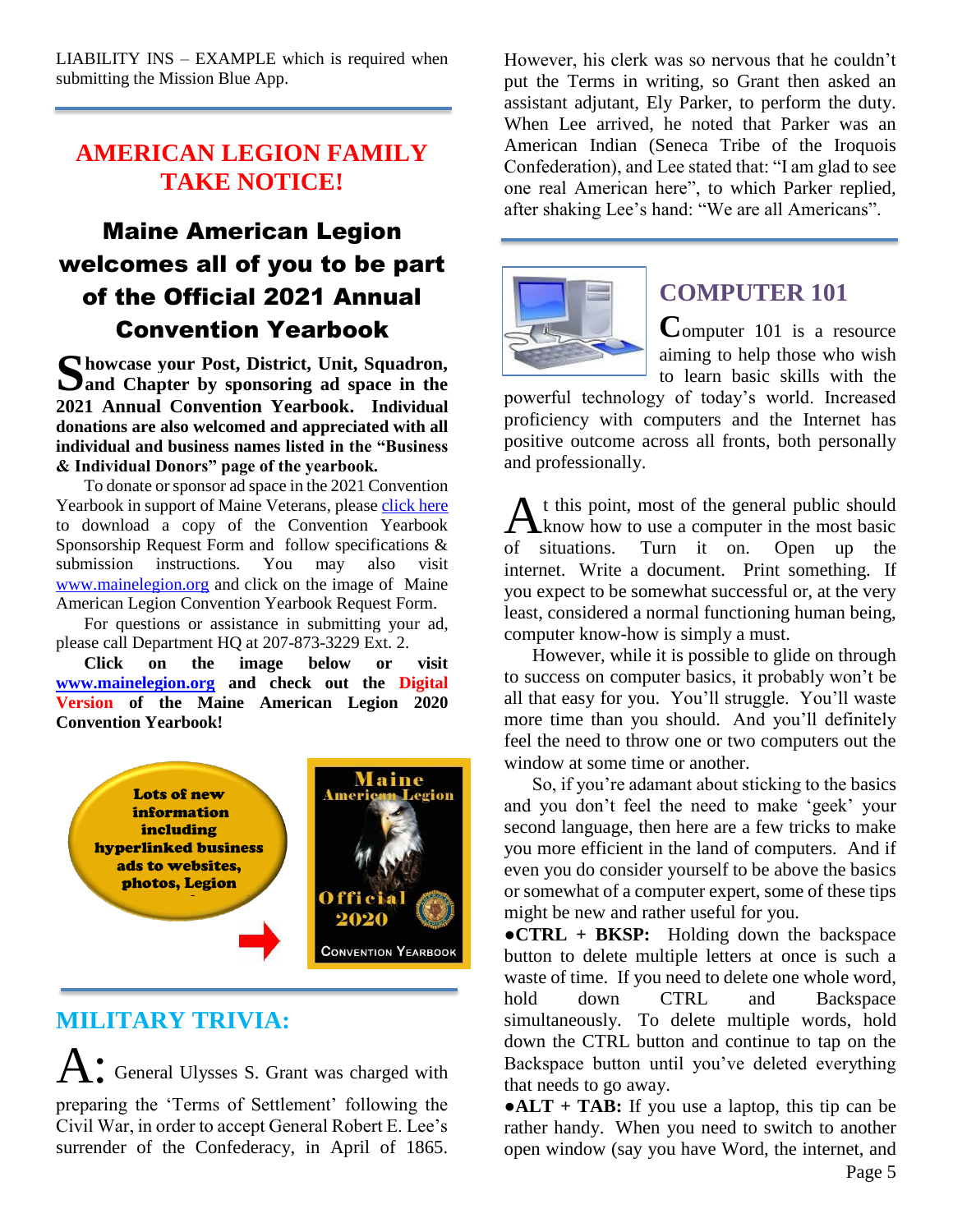LIABILITY INS – EXAMPLE which is required when submitting the Mission Blue App.

#### **AMERICAN LEGION FAMILY TAKE NOTICE!**

## Maine American Legion welcomes all of you to be part of the Official 2021 Annual Convention Yearbook

Showcase your Post, District, Unit, Squadron, Sand Chapter by sponsoring ad space in the **and Chapter by sponsoring ad space in the 2021 Annual Convention Yearbook. Individual donations are also welcomed and appreciated with all individual and business names listed in the "Business & Individual Donors" page of the yearbook.** 

To donate or sponsor ad space in the 2021 Convention Yearbook in support of Maine Veterans, please [click here](http://www.mainelegion.org/media/YEARBOOK/Maine_AL_Convention_Yearbook_Sponsorship_Req._Form11_FILLABLE.pdf) to download a copy of the Convention Yearbook Sponsorship Request Form and follow specifications & submission instructions. You may also visit [www.mainelegion.org](http://www.mainelegion.org/) and click on the image of Maine American Legion Convention Yearbook Request Form.

For questions or assistance in submitting your ad, please call Department HQ at 207-873-3229 Ext. 2.

**Click on the image below or visit [www.mainelegion.org](http://www.mainelegion.org/) and check out the Digital Version of the Maine American Legion 2020 Convention Yearbook!**



#### **MILITARY TRIVIA:**

A: General Ulysses S. Grant was charged with preparing the 'Terms of Settlement' following the Civil War, in order to accept General Robert E. Lee's surrender of the Confederacy, in April of 1865.

However, his clerk was so nervous that he couldn't put the Terms in writing, so Grant then asked an assistant adjutant, Ely Parker, to perform the duty. When Lee arrived, he noted that Parker was an American Indian (Seneca Tribe of the Iroquois Confederation), and Lee stated that: "I am glad to see one real American here", to which Parker replied, after shaking Lee's hand: "We are all Americans".



#### **COMPUTER 101**

**C**omputer 101 is a resource aiming to help those who wish to learn basic skills with the

powerful technology of today's world. Increased proficiency with computers and the Internet has positive outcome across all fronts, both personally and professionally.

t this point, most of the general public should  $A<sup>t</sup>$  this point, most of the general public should know how to use a computer in the most basic of situations. Turn it on. Open up the internet. Write a document. Print something. If you expect to be somewhat successful or, at the very least, considered a normal functioning human being, computer know-how is simply a must.

However, while it is possible to glide on through to success on computer basics, it probably won't be all that easy for you. You'll struggle. You'll waste more time than you should. And you'll definitely feel the need to throw one or two computers out the window at some time or another.

So, if you're adamant about sticking to the basics and you don't feel the need to make 'geek' your second language, then here are a few tricks to make you more efficient in the land of computers. And if even you do consider yourself to be above the basics or somewhat of a computer expert, some of these tips might be new and rather useful for you.

**●CTRL + BKSP:** Holding down the backspace button to delete multiple letters at once is such a waste of time. If you need to delete one whole word, hold down CTRL and Backspace simultaneously. To delete multiple words, hold down the CTRL button and continue to tap on the Backspace button until you've deleted everything that needs to go away.

**●ALT + TAB:** If you use a laptop, this tip can be rather handy. When you need to switch to another open window (say you have Word, the internet, and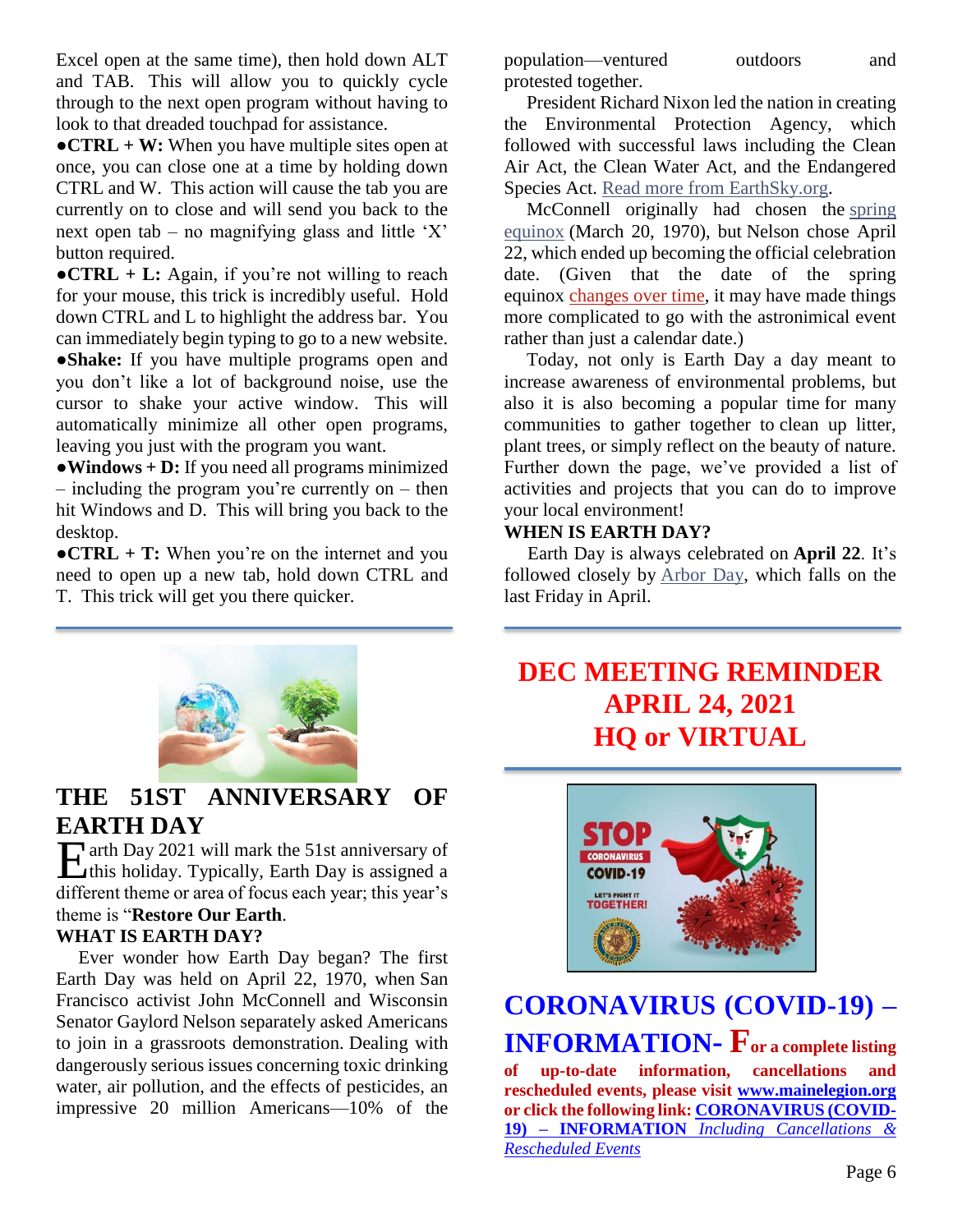Excel open at the same time), then hold down ALT and TAB. This will allow you to quickly cycle through to the next open program without having to look to that dreaded touchpad for assistance.

**•CTRL + W:** When you have multiple sites open at once, you can close one at a time by holding down CTRL and W. This action will cause the tab you are currently on to close and will send you back to the next open tab – no magnifying glass and little 'X' button required.

**•CTRL** + **L**: Again, if you're not willing to reach for your mouse, this trick is incredibly useful. Hold down CTRL and L to highlight the address bar. You can immediately begin typing to go to a new website. **●Shake:** If you have multiple programs open and you don't like a lot of background noise, use the cursor to shake your active window. This will automatically minimize all other open programs, leaving you just with the program you want.

**●Windows + D:** If you need all programs minimized – including the program you're currently on – then hit Windows and D. This will bring you back to the desktop.

**●CTRL + T:** When you're on the internet and you need to open up a new tab, hold down CTRL and T. This trick will get you there quicker.



#### **THE 51ST ANNIVERSARY OF EARTH DAY**

arth Day 2021 will mark the 51st anniversary of Earth Day 2021 will mark the 51st anniversary of<br>this holiday. Typically, Earth Day is assigned a different theme or area of focus each year; this year's theme is "**Restore Our Earth**.

#### **WHAT IS EARTH DAY?**

Ever wonder how Earth Day began? The first Earth Day was held on April 22, 1970, when San Francisco activist John McConnell and Wisconsin Senator Gaylord Nelson separately asked Americans to join in a grassroots demonstration. Dealing with dangerously serious issues concerning toxic drinking water, air pollution, and the effects of pesticides, an impressive 20 million Americans—10% of the

population—ventured outdoors and protested together.

President Richard Nixon led the nation in creating the Environmental Protection Agency, which followed with successful laws including the Clean Air Act, the Clean Water Act, and the Endangered Species Act. [Read more from EarthSky.org.](https://earthsky.org/earth/first-earth-day-50th-anniversary-april22-2020)

McConnell originally had chosen the [spring](https://www.almanac.com/content/first-day-spring-vernal-equinox)  [equinox](https://www.almanac.com/content/first-day-spring-vernal-equinox) (March 20, 1970), but Nelson chose April 22, which ended up becoming the official celebration date. (Given that the date of the spring equinox [changes over time,](https://www.almanac.com/spring-2020-earliest-spring-in-over-100-years) it may have made things more complicated to go with the astronimical event rather than just a calendar date.)

Today, not only is Earth Day a day meant to increase awareness of environmental problems, but also it is also becoming a popular time for many communities to gather together to clean up litter, plant trees, or simply reflect on the beauty of nature. Further down the page, we've provided a list of activities and projects that you can do to improve your local environment!

#### **WHEN IS EARTH DAY?**

 Earth Day is always celebrated on **April 22**. It's followed closely by [Arbor Day,](https://www.almanac.com/content/what-arbor-day-forest-facts) which falls on the last Friday in April.

## **DEC MEETING REMINDER APRIL 24, 2021 HQ or VIRTUAL**



# **[CORONAVIRUS \(COVID-19\) –](http://www.mainelegion.org/pages/news-events/covid-19-info.php) [INFORMATION](http://www.mainelegion.org/pages/news-events/covid-19-info.php)- For a complete listing of up-to-date information, cancellations and**

**rescheduled events, please visit [www.mainelegion.org](http://www.mainelegion.org/) or click the following link: [CORONAVIRUS \(COVID-](http://www.mainelegion.org/pages/news-events/covid-19-info.php)19) – INFORMATION** *[Including Cancellations &](http://www.mainelegion.org/pages/news-events/covid-19-info.php)  [Rescheduled Events](http://www.mainelegion.org/pages/news-events/covid-19-info.php)*